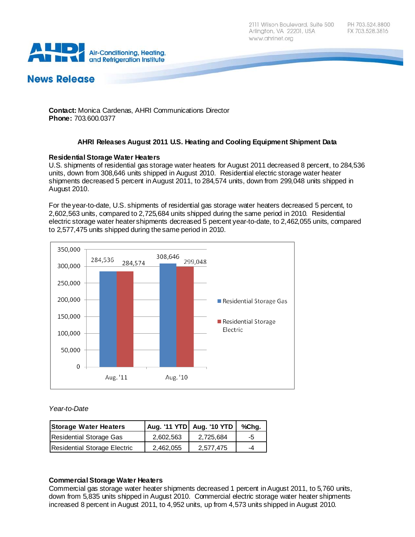2111 Wilson Boulevard, Suite 500 Arlington, VA 22201, USA www.ahrinet.org



# **News Release**

**Contact:** Monica Cardenas, AHRI Communications Director **Phone:** 703.600.0377

# **AHRI Releases August 2011 U.S. Heating and Cooling Equipment Shipment Data**

### **Residential Storage Water Heaters**

U.S. shipments of residential gas storage water heaters for August 2011 decreased 8 percent, to 284,536 units, down from 308,646 units shipped in August 2010. Residential electric storage water heater shipments decreased 5 percent in August 2011, to 284,574 units, down from 299,048 units shipped in August 2010.

For the year-to-date, U.S. shipments of residential gas storage water heaters decreased 5 percent, to 2,602,563 units, compared to 2,725,684 units shipped during the same period in 2010. Residential electric storage water heater shipments decreased 5 percent year-to-date, to 2,462,055 units, compared to 2,577,475 units shipped during the same period in 2010.



### *Year-to-Date*

| <b>Storage Water Heaters</b> |           | Aug. '11 YTD   Aug. '10 YTD | %Chg. |
|------------------------------|-----------|-----------------------------|-------|
| Residential Storage Gas      | 2.602.563 | 2.725.684                   | -5    |
| Residential Storage Electric | 2.462.055 | 2.577.475                   | -4    |

### **Commercial Storage Water Heaters**

Commercial gas storage water heater shipments decreased 1 percent in August 2011, to 5,760 units, down from 5,835 units shipped in August 2010. Commercial electric storage water heater shipments increased 8 percent in August 2011, to 4,952 units, up from 4,573 units shipped in August 2010.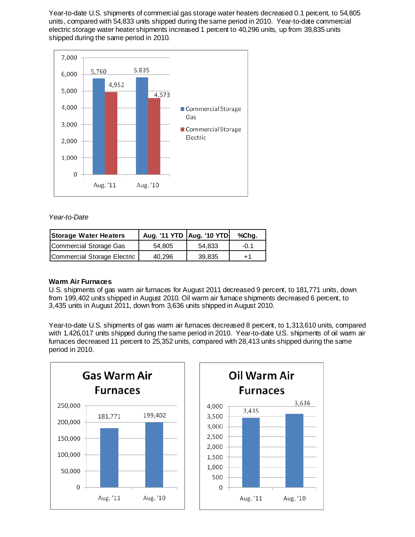Year-to-date U.S. shipments of commercial gas storage water heaters decreased 0.1 percent, to 54,805 units, compared with 54,833 units shipped during the same period in 2010. Year-to-date commercial electric storage water heater shipments increased 1 percent to 40,296 units, up from 39,835 units shipped during the same period in 2010.



## *Year-to-Date*

| <b>Storage Water Heaters</b> | Aug. '11 YTD   Aug. '10 YTD |        | %Chg.  |
|------------------------------|-----------------------------|--------|--------|
| Commercial Storage Gas       | 54.805                      | 54.833 | $-0.1$ |
| Commercial Storage Electric  | 40.296                      | 39,835 | $+1$   |

### **Warm Air Furnaces**

U.S. shipments of gas warm air furnaces for August 2011 decreased 9 percent, to 181,771 units, down from 199,402 units shipped in August 2010. Oil warm air furnace shipments decreased 6 percent, to 3,435 units in August 2011, down from 3,636 units shipped in August 2010.

Year-to-date U.S. shipments of gas warm air furnaces decreased 8 percent, to 1,313,610 units, compared with 1,426,017 units shipped during the same period in 2010. Year-to-date U.S. shipments of oil warm air furnaces decreased 11 percent to 25,352 units, compared with 28,413 units shipped during the same period in 2010.



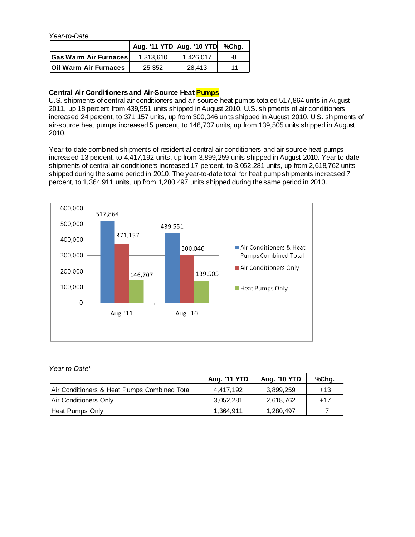*Year-to-Date*

|                              | Aug. '11 YTD Aug. '10 YTD |           | %Cha. |
|------------------------------|---------------------------|-----------|-------|
| <b>Gas Warm Air Furnaces</b> | 1.313.610                 | 1.426.017 | -8    |
| Oil Warm Air Furnaces        | 25.352                    | 28.413    | $-11$ |

## **Central Air Conditioners and Air-Source Heat Pumps**

U.S. shipments of central air conditioners and air-source heat pumps totaled 517,864 units in August 2011, up 18 percent from 439,551 units shipped in August 2010. U.S. shipments of air conditioners increased 24 percent, to 371,157 units, up from 300,046 units shipped in August 2010. U.S. shipments of air-source heat pumps increased 5 percent, to 146,707 units, up from 139,505 units shipped in August 2010.

Year-to-date combined shipments of residential central air conditioners and air-source heat pumps increased 13 percent, to 4,417,192 units, up from 3,899,259 units shipped in August 2010. Year-to-date shipments of central air conditioners increased 17 percent, to 3,052,281 units, up from 2,618,762 units shipped during the same period in 2010. The year-to-date total for heat pump shipments increased 7 percent, to 1,364,911 units, up from 1,280,497 units shipped during the same period in 2010.



| Year-to-Date*                                |              |                     |       |
|----------------------------------------------|--------------|---------------------|-------|
|                                              | Aug. '11 YTD | <b>Aug. '10 YTD</b> | %Chg. |
| Air Conditioners & Heat Pumps Combined Total | 4,417,192    | 3,899,259           | $+13$ |
| Air Conditioners Only                        | 3,052,281    | 2,618,762           | $+17$ |
| Heat Pumps Only                              | 1,364,911    | 1,280,497           | $+7$  |